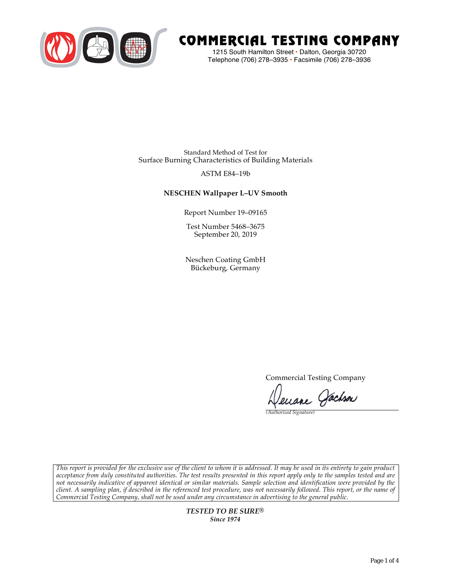

# COMMERCIAL TESTING COMPANY

1215 South Hamilton Street • Dalton, Georgia 30720 Telephone (706) 278–3935 **•** Facsimile (706) 278–3936

Standard Method of Test for Surface Burning Characteristics of Building Materials

# ASTM E84–19b

# **NESCHEN Wallpaper L–UV Smooth**

Report Number 19–09165

Test Number 5468–3675 September 20, 2019

Neschen Coating GmbH Bückeburg, Germany

Commercial Testing Company

enane Jachson

*(Authorized Signature)* 

*This report is provided for the exclusive use of the client to whom it is addressed. It may be used in its entirety to gain product acceptance from duly constituted authorities. The test results presented in this report apply only to the samples tested and are not necessarily indicative of apparent identical or similar materials. Sample selection and identification were provided by the client. A sampling plan, if described in the referenced test procedure, was not necessarily followed. This report, or the name of Commercial Testing Company, shall not be used under any circumstance in advertising to the general public.* 

> *TESTED TO BE SURE® Since 1974*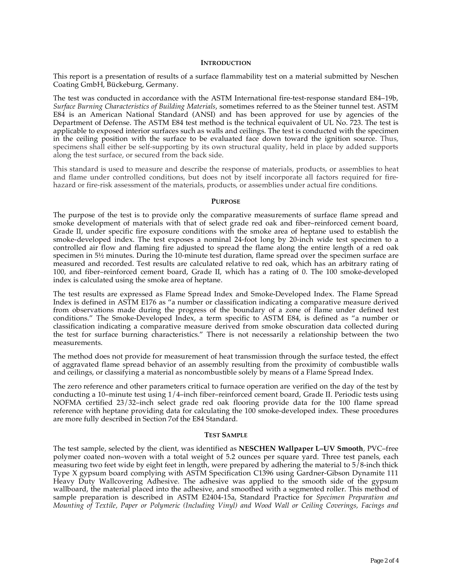#### **INTRODUCTION**

This report is a presentation of results of a surface flammability test on a material submitted by Neschen Coating GmbH, Bückeburg, Germany.

The test was conducted in accordance with the ASTM International fire-test-response standard E84–19b, *Surface Burning Characteristics of Building Materials*, sometimes referred to as the Steiner tunnel test. ASTM E84 is an American National Standard (ANSI) and has been approved for use by agencies of the Department of Defense. The ASTM E84 test method is the technical equivalent of UL No. 723. The test is applicable to exposed interior surfaces such as walls and ceilings. The test is conducted with the specimen in the ceiling position with the surface to be evaluated face down toward the ignition source. Thus, specimens shall either be self-supporting by its own structural quality, held in place by added supports along the test surface, or secured from the back side.

This standard is used to measure and describe the response of materials, products, or assemblies to heat and flame under controlled conditions, but does not by itself incorporate all factors required for firehazard or fire-risk assessment of the materials, products, or assemblies under actual fire conditions.

#### **PURPOSE**

The purpose of the test is to provide only the comparative measurements of surface flame spread and smoke development of materials with that of select grade red oak and fiber–reinforced cement board, Grade II, under specific fire exposure conditions with the smoke area of heptane used to establish the smoke-developed index. The test exposes a nominal 24-foot long by 20-inch wide test specimen to a controlled air flow and flaming fire adjusted to spread the flame along the entire length of a red oak specimen in  $5\frac{1}{2}$  minutes. During the 10-minute test duration, flame spread over the specimen surface are measured and recorded. Test results are calculated relative to red oak, which has an arbitrary rating of 100, and fiber–reinforced cement board, Grade II, which has a rating of 0. The 100 smoke-developed index is calculated using the smoke area of heptane.

The test results are expressed as Flame Spread Index and Smoke-Developed Index. The Flame Spread Index is defined in ASTM E176 as "a number or classification indicating a comparative measure derived from observations made during the progress of the boundary of a zone of flame under defined test conditions." The Smoke-Developed Index, a term specific to ASTM E84, is defined as "a number or classification indicating a comparative measure derived from smoke obscuration data collected during the test for surface burning characteristics." There is not necessarily a relationship between the two measurements.

The method does not provide for measurement of heat transmission through the surface tested, the effect of aggravated flame spread behavior of an assembly resulting from the proximity of combustible walls and ceilings, or classifying a material as noncombustible solely by means of a Flame Spread Index.

The zero reference and other parameters critical to furnace operation are verified on the day of the test by conducting a 10–minute test using 1/4–inch fiber–reinforced cement board, Grade II. Periodic tests using NOFMA certified 23/32–inch select grade red oak flooring provide data for the 100 flame spread reference with heptane providing data for calculating the 100 smoke-developed index. These procedures are more fully described in Section 7of the E84 Standard.

#### **TEST SAMPLE**

The test sample, selected by the client, was identified as **NESCHEN Wallpaper L–UV Smooth**, PVC–free polymer coated non–woven with a total weight of 5.2 ounces per square yard. Three test panels, each measuring two feet wide by eight feet in length, were prepared by adhering the material to 5/8-inch thick Type X gypsum board complying with ASTM Specification C1396 using Gardner-Gibson Dynamite 111 Heavy Duty Wallcovering Adhesive. The adhesive was applied to the smooth side of the gypsum wallboard, the material placed into the adhesive, and smoothed with a segmented roller. This method of sample preparation is described in ASTM E2404-15a, Standard Practice for *Specimen Preparation and Mounting of Textile, Paper or Polymeric (Including Vinyl) and Wood Wall or Ceiling Coverings, Facings and*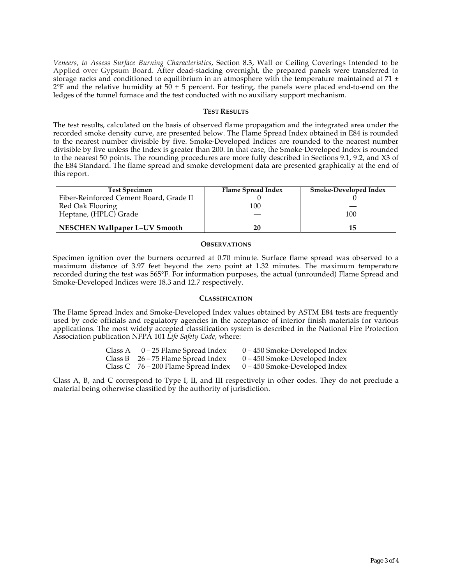*Veneers, to Assess Surface Burning Characteristics*, Section 8.3, Wall or Ceiling Coverings Intended to be Applied over Gypsum Board. After dead-stacking overnight, the prepared panels were transferred to storage racks and conditioned to equilibrium in an atmosphere with the temperature maintained at 71  $\pm$  $2^{\circ}F$  and the relative humidity at 50  $\pm$  5 percent. For testing, the panels were placed end-to-end on the ledges of the tunnel furnace and the test conducted with no auxiliary support mechanism.

#### **TEST RESULTS**

The test results, calculated on the basis of observed flame propagation and the integrated area under the recorded smoke density curve, are presented below. The Flame Spread Index obtained in E84 is rounded to the nearest number divisible by five. Smoke-Developed Indices are rounded to the nearest number divisible by five unless the Index is greater than 200. In that case, the Smoke-Developed Index is rounded to the nearest 50 points. The rounding procedures are more fully described in Sections 9.1, 9.2, and X3 of the E84 Standard. The flame spread and smoke development data are presented graphically at the end of this report.

| <b>Test Specimen</b>                    | Flame Spread Index | Smoke-Developed Index |
|-----------------------------------------|--------------------|-----------------------|
| Fiber-Reinforced Cement Board, Grade II |                    |                       |
| Red Oak Flooring                        | 100                |                       |
| Heptane, (HPLC) Grade                   |                    | 100                   |
| <b>NESCHEN Wallpaper L-UV Smooth</b>    | 20                 |                       |

#### **OBSERVATIONS**

Specimen ignition over the burners occurred at 0.70 minute. Surface flame spread was observed to a maximum distance of 3.97 feet beyond the zero point at 1.32 minutes. The maximum temperature recorded during the test was 565°F. For information purposes, the actual (unrounded) Flame Spread and Smoke-Developed Indices were 18.3 and 12.7 respectively.

### **CLASSIFICATION**

The Flame Spread Index and Smoke-Developed Index values obtained by ASTM E84 tests are frequently used by code officials and regulatory agencies in the acceptance of interior finish materials for various applications. The most widely accepted classification system is described in the National Fire Protection Association publication NFPA 101 *Life Safety Code*, where:

| Class A | 0 – 25 Flame Spread Index             | $0 - 450$ Smoke-Developed Index |
|---------|---------------------------------------|---------------------------------|
|         | Class B $26 - 75$ Flame Spread Index  | 0 – 450 Smoke-Developed Index   |
|         | Class $C$ 76 – 200 Flame Spread Index | $0 - 450$ Smoke-Developed Index |

Class A, B, and C correspond to Type I, II, and III respectively in other codes. They do not preclude a material being otherwise classified by the authority of jurisdiction.